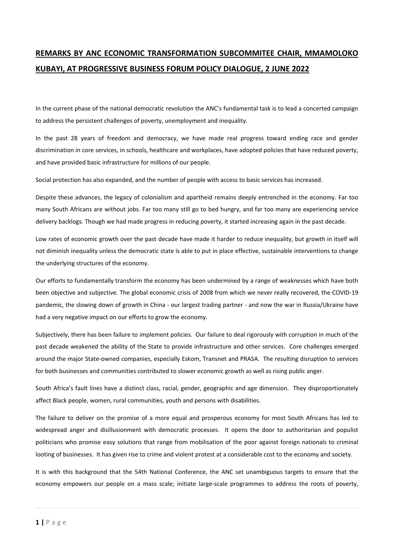## **REMARKS BY ANC ECONOMIC TRANSFORMATION SUBCOMMITEE CHAIR, MMAMOLOKO KUBAYI, AT PROGRESSIVE BUSINESS FORUM POLICY DIALOGUE, 2 JUNE 2022**

In the current phase of the national democratic revolution the ANC's fundamental task is to lead a concerted campaign to address the persistent challenges of poverty, unemployment and inequality.

In the past 28 years of freedom and democracy, we have made real progress toward ending race and gender discrimination in core services, in schools, healthcare and workplaces, have adopted policies that have reduced poverty, and have provided basic infrastructure for millions of our people.

Social protection has also expanded, and the number of people with access to basic services has increased.

Despite these advances, the legacy of colonialism and apartheid remains deeply entrenched in the economy. Far too many South Africans are without jobs. Far too many still go to bed hungry, and far too many are experiencing service delivery backlogs. Though we had made progress in reducing poverty, it started increasing again in the past decade.

Low rates of economic growth over the past decade have made it harder to reduce inequality, but growth in itself will not diminish inequality unless the democratic state is able to put in place effective, sustainable interventions to change the underlying structures of the economy.

Our efforts to fundamentally transform the economy has been undermined by a range of weaknesses which have both been objective and subjective. The global economic crisis of 2008 from which we never really recovered, the COVID-19 pandemic, the slowing down of growth in China - our largest trading partner - and now the war in Russia/Ukraine have had a very negative impact on our efforts to grow the economy.

Subjectively, there has been failure to implement policies. Our failure to deal rigorously with corruption in much of the past decade weakened the ability of the State to provide infrastructure and other services. Core challenges emerged around the major State-owned companies, especially Eskom, Transnet and PRASA. The resulting disruption to services for both businesses and communities contributed to slower economic growth as well as rising public anger.

South Africa's fault lines have a distinct class, racial, gender, geographic and age dimension. They disproportionately affect Black people, women, rural communities, youth and persons with disabilities.

The failure to deliver on the promise of a more equal and prosperous economy for most South Africans has led to widespread anger and disillusionment with democratic processes. It opens the door to authoritarian and populist politicians who promise easy solutions that range from mobilisation of the poor against foreign nationals to criminal looting of businesses. It has given rise to crime and violent protest at a considerable cost to the economy and society.

It is with this background that the 54th National Conference, the ANC set unambiguous targets to ensure that the economy empowers our people on a mass scale; initiate large-scale programmes to address the roots of poverty,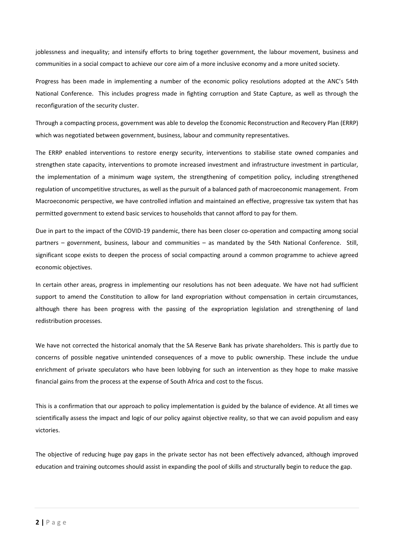joblessness and inequality; and intensify efforts to bring together government, the labour movement, business and communities in a social compact to achieve our core aim of a more inclusive economy and a more united society.

Progress has been made in implementing a number of the economic policy resolutions adopted at the ANC's 54th National Conference. This includes progress made in fighting corruption and State Capture, as well as through the reconfiguration of the security cluster.

Through a compacting process, government was able to develop the Economic Reconstruction and Recovery Plan (ERRP) which was negotiated between government, business, labour and community representatives.

The ERRP enabled interventions to restore energy security, interventions to stabilise state owned companies and strengthen state capacity, interventions to promote increased investment and infrastructure investment in particular, the implementation of a minimum wage system, the strengthening of competition policy, including strengthened regulation of uncompetitive structures, as well as the pursuit of a balanced path of macroeconomic management. From Macroeconomic perspective, we have controlled inflation and maintained an effective, progressive tax system that has permitted government to extend basic services to households that cannot afford to pay for them.

Due in part to the impact of the COVID-19 pandemic, there has been closer co-operation and compacting among social partners – government, business, labour and communities – as mandated by the 54th National Conference. Still, significant scope exists to deepen the process of social compacting around a common programme to achieve agreed economic objectives.

In certain other areas, progress in implementing our resolutions has not been adequate. We have not had sufficient support to amend the Constitution to allow for land expropriation without compensation in certain circumstances, although there has been progress with the passing of the expropriation legislation and strengthening of land redistribution processes.

We have not corrected the historical anomaly that the SA Reserve Bank has private shareholders. This is partly due to concerns of possible negative unintended consequences of a move to public ownership. These include the undue enrichment of private speculators who have been lobbying for such an intervention as they hope to make massive financial gains from the process at the expense of South Africa and cost to the fiscus.

This is a confirmation that our approach to policy implementation is guided by the balance of evidence. At all times we scientifically assess the impact and logic of our policy against objective reality, so that we can avoid populism and easy victories.

The objective of reducing huge pay gaps in the private sector has not been effectively advanced, although improved education and training outcomes should assist in expanding the pool of skills and structurally begin to reduce the gap.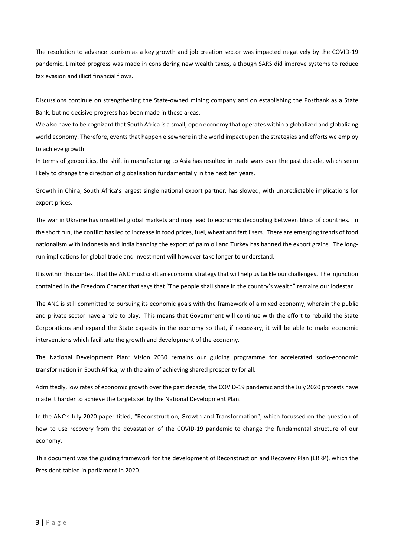The resolution to advance tourism as a key growth and job creation sector was impacted negatively by the COVID-19 pandemic. Limited progress was made in considering new wealth taxes, although SARS did improve systems to reduce tax evasion and illicit financial flows.

Discussions continue on strengthening the State-owned mining company and on establishing the Postbank as a State Bank, but no decisive progress has been made in these areas.

We also have to be cognizant that South Africa is a small, open economy that operates within a globalized and globalizing world economy. Therefore, events that happen elsewhere in the world impact upon the strategies and efforts we employ to achieve growth.

In terms of geopolitics, the shift in manufacturing to Asia has resulted in trade wars over the past decade, which seem likely to change the direction of globalisation fundamentally in the next ten years.

Growth in China, South Africa's largest single national export partner, has slowed, with unpredictable implications for export prices.

The war in Ukraine has unsettled global markets and may lead to economic decoupling between blocs of countries. In the short run, the conflict has led to increase in food prices, fuel, wheat and fertilisers. There are emerging trends of food nationalism with Indonesia and India banning the export of palm oil and Turkey has banned the export grains. The longrun implications for global trade and investment will however take longer to understand.

It is within this context that the ANC must craft an economic strategy that will help us tackle our challenges. The injunction contained in the Freedom Charter that says that "The people shall share in the country's wealth" remains our lodestar.

The ANC is still committed to pursuing its economic goals with the framework of a mixed economy, wherein the public and private sector have a role to play. This means that Government will continue with the effort to rebuild the State Corporations and expand the State capacity in the economy so that, if necessary, it will be able to make economic interventions which facilitate the growth and development of the economy.

The National Development Plan: Vision 2030 remains our guiding programme for accelerated socio-economic transformation in South Africa, with the aim of achieving shared prosperity for all.

Admittedly, low rates of economic growth over the past decade, the COVID-19 pandemic and the July 2020 protests have made it harder to achieve the targets set by the National Development Plan.

In the ANC's July 2020 paper titled; "Reconstruction, Growth and Transformation", which focussed on the question of how to use recovery from the devastation of the COVID-19 pandemic to change the fundamental structure of our economy.

This document was the guiding framework for the development of Reconstruction and Recovery Plan (ERRP), which the President tabled in parliament in 2020.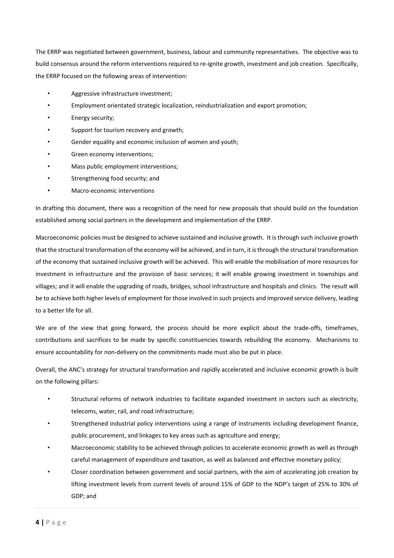The ERRP was negotiated between government, business, labour and community representatives. The objective was to build consensus around the reform interventions required to re-ignite growth, investment and job creation. Specifically, the ERRP focused on the following areas of intervention:

- Aggressive infrastructure investment;
- Employment orientated strategic localization, reindustrialization and export promotion;
- Energy security;
- Support for tourism recovery and growth;
- Gender equality and economic inclusion of women and youth:
- Green economy interventions;
- Mass public employment interventions;
- Strengthening food security; and
- Macro-economic interventions

In drafting this document, there was a recognition of the need for new proposals that should build on the foundation established among social partners in the development and implementation of the ERRP.

Macroeconomic policies must be designed to achieve sustained and inclusive growth. It is through such inclusive growth that the structural transformation of the economy will be achieved, and in turn, it is through the structural transformation of the economy that sustained inclusive growth will be achieved. This will enable the mobilisation of more resources for investment in infrastructure and the provision of basic services; it will enable growing investment in townships and villages; and it will enable the upgrading of roads, bridges, school infrastructure and hospitals and clinics. The result will be to achieve both higher levels of employment for those involved in such projects and improved service delivery, leading to a better life for all.

We are of the view that going forward, the process should be more explicit about the trade-offs, timeframes, contributions and sacrifices to be made by specific constituencies towards rebuilding the economy. Mechanisms to ensure accountability for non-delivery on the commitments made must also be put in place.

Overall, the ANC's strategy for structural transformation and rapidly accelerated and inclusive economic growth is built on the following pillars:

- Structural reforms of network industries to facilitate expanded investment in sectors such as electricity, telecoms, water, rail, and road infrastructure;
- Strengthened industrial policy interventions using a range of instruments including development finance, public procurement, and linkages to key areas such as agriculture and energy;
- Macroeconomic stability to be achieved through policies to accelerate economic growth as well as through careful management of expenditure and taxation, as well as balanced and effective monetary policy;
- Closer coordination between government and social partners, with the aim of accelerating job creation by lifting investment levels from current levels of around 15% of GDP to the NDP's target of 25% to 30% of GDP; and